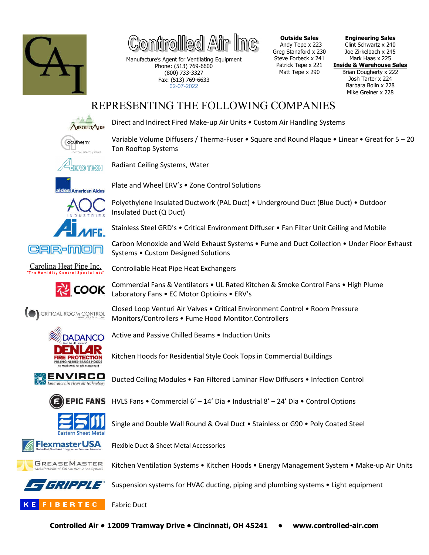

11@@1 /4

Manufacture's Agent for Ventilating Equipment Phone: (513) 769-6600 (800) 733-3327 Fax: (513) 769-6633 02-07-2022

Plate and Wheel ERV's • Zone Control Solutions

**Outside Sales** Andy Tepe x 223 Greg Stanaford x 230 Steve Forbeck x 241 Patrick Tepe x 221 Matt Tepe x 290

**Engineering Sales** Clint Schwartz x 240 Joe Zirkelbach x 245 Mark Haas x 225 **Inside & Warehouse Sales** Brian Dougherty x 222 Josh Tarter x 224 Barbara Bolin x 228 Mike Greiner x 228

## REPRESENTING THE FOLLOWING COMPANIES



Direct and Indirect Fired Make-up Air Units • Custom Air Handling Systems

Variable Volume Diffusers / Therma-Fuser • Square and Round Plaque • Linear • Great for 5 – 20 Ton Rooftop Systems



Radiant Ceiling Systems, Water





Polyethylene Insulated Ductwork (PAL Duct) • Underground Duct (Blue Duct) • Outdoor Insulated Duct (Q Duct)

Stainless Steel GRD's • Critical Environment Diffuser • Fan Filter Unit Ceiling and Mobile

Carbon Monoxide and Weld Exhaust Systems • Fume and Duct Collection • Under Floor Exhaust Systems • Custom Designed Solutions

Carolina Heat Pipe Inc.

CRITICAL ROOM CONTROL



Commercial Fans & Ventilators • UL Rated Kitchen & Smoke Control Fans • High Plume Laboratory Fans • EC Motor Optioins • ERV's





Active and Passive Chilled Beams • Induction Units

Kitchen Hoods for Residential Style Cook Tops in Commercial Buildings



Ducted Ceiling Modules • Fan Filtered Laminar Flow Diffusers • Infection Control



HVLS Fans • Commercial 6' – 14' Dia • Industrial 8' – 24' Dia • Control Options



Single and Double Wall Round & Oval Duct • Stainless or G90 • Poly Coated Steel





Kitchen Ventilation Systems • Kitchen Hoods • Energy Management System • Make-up Air Units

Suspension systems for HVAC ducting, piping and plumbing systems • Light equipment



Fabric Duct



Flexible Duct & Sheet Metal Accessories

Controllable Heat Pipe Heat Exchangers